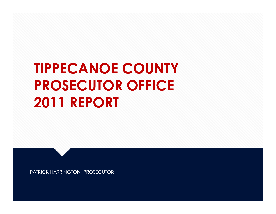# **TIPPECANOE COUNTY PROSECUTOR OFFICE 2011 REPORT**

PATRICK HARRINGTON, PROSECUTOR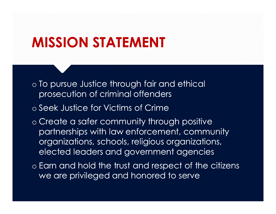## **MISSION STATEMENT**

- o To pursue Justice through fair and ethical prosecution of criminal offenders
- o Seek Justice for Victims of Crime
- o Create a safer community through positive partnerships with law enforcement, community organizations, schools, religious organizations, elected leaders and government agencies
- o Earn and hold the trust and respect of the citizens we are privileged and honored to serve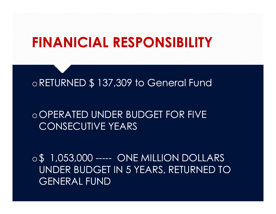### **FINANICIAL RESPONSIBILITY**

#### oRETURNED \$ 137,309 to General Fund

#### oOPERATED UNDER BUDGET FOR FIVE CONSECUTIVE YEARS

o\$ 1,053,000 ----- ONE MILLION DOLLARS UNDER BUDGET IN 5 YEARS, RETURNED TO GENERAL FUND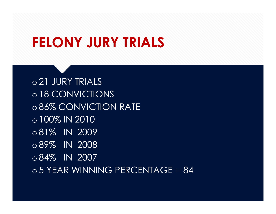## **FELONY JURY TRIALS**

o 21 JURY TRIALS o 18 CONVICTIONS o 86% CONVICTION RATE o 100% IN 2010 o 81% IN 2009 o 89% IN 2008 o 84% IN 2007  $\circ$  5 YEAR WINNING PERCENTAGE = 84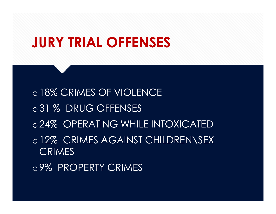## **JURY TRIAL OFFENSES**

o18% CRIMES OF VIOLENCE o31 % DRUG OFFENSES o24% OPERATING WHILE INTOXICATED o12% CRIMES AGAINST CHILDREN\SEX **CRIMES** o9% PROPERTY CRIMES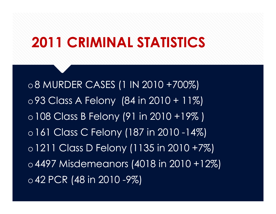## **2011 CRIMINAL STATISTICS**

o8 MURDER CASES (1 IN 2010 +700%) o93 Class A Felony (84 in 2010 + 11%) o108 Class B Felony (91 in 2010 +19% ) o161 Class C Felony (187 in 2010 -14%) o1211 Class D Felony (1135 in 2010 +7%) o4497 Misdemeanors (4018 in 2010 +12%) o42 PCR (48 in 2010 -9%)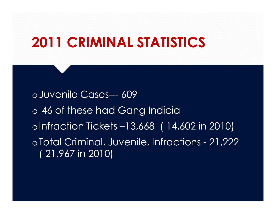## **2011 CRIMINAL STATISTICS**

oJuvenile Cases--- 609 o 46 of these had Gang Indicia oInfraction Tickets –13,668 ( 14,602 in 2010) oTotal Criminal, Juvenile, Infractions - 21,222 ( 21,967 in 2010)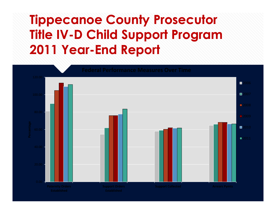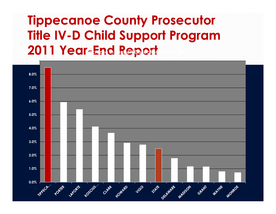#### **Tippecanoe County Prosecutor Title IV-D Child Support Program 2011 Year-End Report Increase in Support Collections 2010 - 2011**

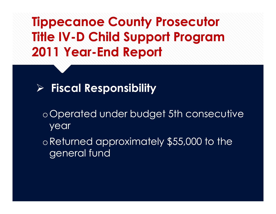

- oOperated under budget 5th consecutive year
- oReturned approximately \$55,000 to the general fund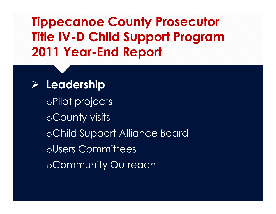oPilot projects oCounty visits oChild Support Alliance Board oUsers Committees oCommunity Outreach ÿ **Leadership**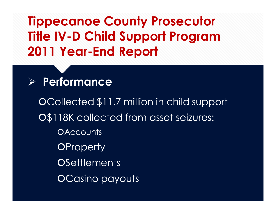#### ÿ **Performance**

öCollected \$11.7 million in child support O\$118K collected from asset seizures: **OAccounts OProperty OSettlements** OCasino payouts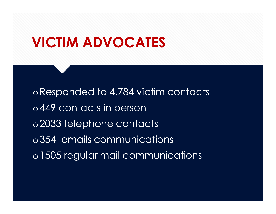### **VICTIM ADVOCATES**

oResponded to 4,784 victim contacts o449 contacts in person o2033 telephone contacts o354 emails communications o1505 regular mail communications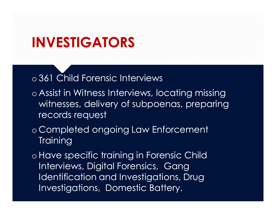## **INVESTIGATORS**

o 361 Child Forensic Interviews

- o Assist in Witness Interviews, locating missing witnesses, delivery of subpoenas, preparing records request
- o Completed ongoing Law Enforcement **Training**

o Have specific training in Forensic Child Interviews, Digital Forensics, Gang Identification and Investigations, Drug Investigations, Domestic Battery.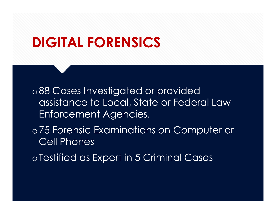### **DIGITAL FORENSICS**

o88 Cases Investigated or provided assistance to Local, State or Federal Law Enforcement Agencies.

o75 Forensic Examinations on Computer or Cell Phones

oTestified as Expert in 5 Criminal Cases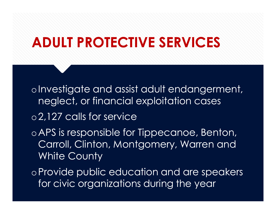### **ADULT PROTECTIVE SERVICES**

oInvestigate and assist adult endangerment, neglect, or financial exploitation cases

o2,127 calls for service

oAPS is responsible for Tippecanoe, Benton, Carroll, Clinton, Montgomery, Warren and White County

oProvide public education and are speakers for civic organizations during the year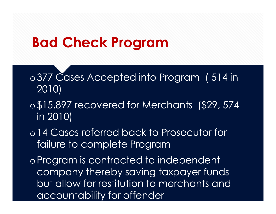## **Bad Check Program**

o377 Cases Accepted into Program (514 in 2010)

- o\$15,897 recovered for Merchants (\$29, 574 in 2010)
- o14 Cases referred back to Prosecutor for failure to complete Program

oProgram is contracted to independent company thereby saving taxpayer funds but allow for restitution to merchants and accountability for offender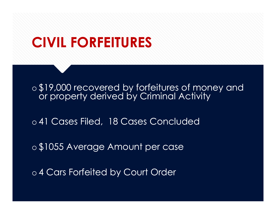### **CIVIL FORFEITURES**

o \$19,000 recovered by forfeitures of money and or property derived by Criminal Activity

o 41 Cases Filed, 18 Cases Concluded

o \$1055 Average Amount per case

o 4 Cars Forfeited by Court Order